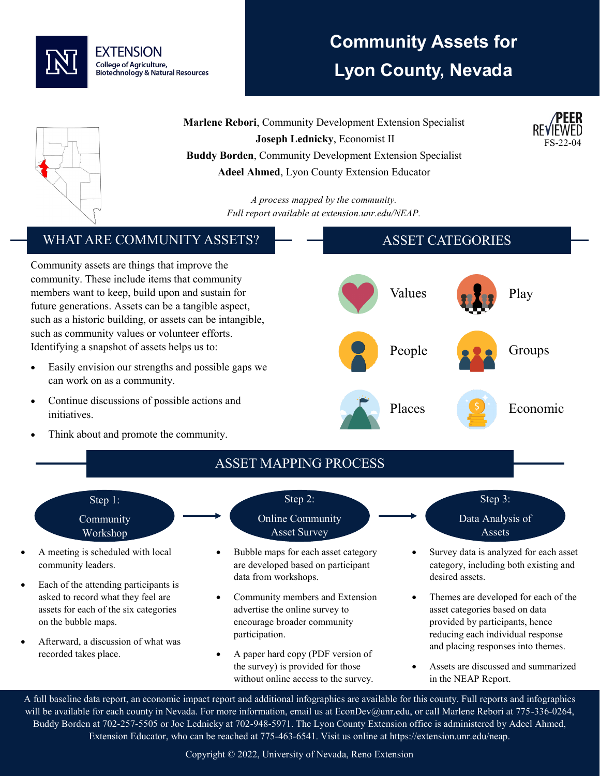

## **Community Assets for Lyon County, Nevada**

**Marlene Rebori**, Community Development Extension Specialist **Joseph Lednicky**, Economist II **Buddy Borden**, Community Development Extension Specialist **Adeel Ahmed**, Lyon County Extension Educator

> *A process mapped by the community. Full report available at extension.unr.edu/NEAP.*

#### WHAT ARE COMMUNITY ASSETS?

Community assets are things that improve the community. These include items that community members want to keep, build upon and sustain for future generations. Assets can be a tangible aspect, such as a historic building, or assets can be intangible, such as community values or volunteer efforts. Identifying a snapshot of assets helps us to:

- Easily envision our strengths and possible gaps we can work on as a community.
- Continue discussions of possible actions and initiatives.
- Think about and promote the community.



# ASSET MAPPING PROCESS

Step 1: Community

- Workshop • A meeting is scheduled with local community leaders.
- Each of the attending participants is asked to record what they feel are assets for each of the six categories on the bubble maps.
- Afterward, a discussion of what was recorded takes place.

Step 2: Online Community

Asset Survey

data from workshops.

participation.

• Bubble maps for each asset category are developed based on participant

• Community members and Extension advertise the online survey to encourage broader community

• A paper hard copy (PDF version of the survey) is provided for those without online access to the survey.



FS-22-04

- Survey data is analyzed for each asset category, including both existing and desired assets.
- Themes are developed for each of the asset categories based on data provided by participants, hence reducing each individual response and placing responses into themes.
- Assets are discussed and summarized in the NEAP Report.

A full baseline data report, an economic impact report and additional infographics are available for this county. Full reports and infographics will be available for each county in Nevada. For more information, email us at EconDev@unr.edu, or call Marlene Rebori at 775-336-0264, Buddy Borden at 702-257-5505 or Joe Lednicky at 702-948-5971. The Lyon County Extension office is administered by Adeel Ahmed, Extension Educator, who can be reached at 775-463-6541. Visit us online at https://extension.unr.edu/neap.